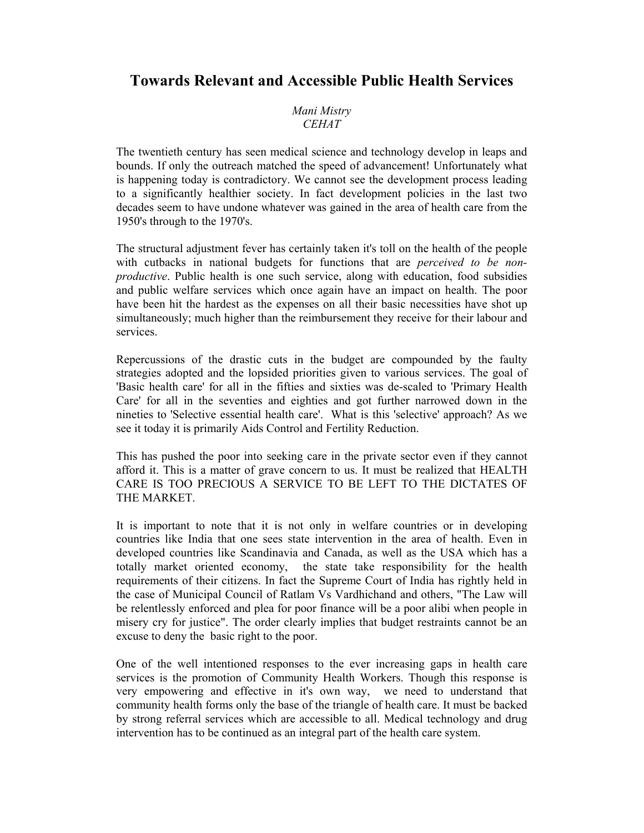# **Towards Relevant and Accessible Public Health Services**

*Mani Mistry CEHAT* 

The twentieth century has seen medical science and technology develop in leaps and bounds. If only the outreach matched the speed of advancement! Unfortunately what is happening today is contradictory. We cannot see the development process leading to a significantly healthier society. In fact development policies in the last two decades seem to have undone whatever was gained in the area of health care from the 1950's through to the 1970's.

The structural adjustment fever has certainly taken it's toll on the health of the people with cutbacks in national budgets for functions that are *perceived to be nonproductive*. Public health is one such service, along with education, food subsidies and public welfare services which once again have an impact on health. The poor have been hit the hardest as the expenses on all their basic necessities have shot up simultaneously; much higher than the reimbursement they receive for their labour and services.

Repercussions of the drastic cuts in the budget are compounded by the faulty strategies adopted and the lopsided priorities given to various services. The goal of 'Basic health care' for all in the fifties and sixties was de-scaled to 'Primary Health Care' for all in the seventies and eighties and got further narrowed down in the nineties to 'Selective essential health care'. What is this 'selective' approach? As we see it today it is primarily Aids Control and Fertility Reduction.

This has pushed the poor into seeking care in the private sector even if they cannot afford it. This is a matter of grave concern to us. It must be realized that HEALTH CARE IS TOO PRECIOUS A SERVICE TO BE LEFT TO THE DICTATES OF THE MARKET.

It is important to note that it is not only in welfare countries or in developing countries like India that one sees state intervention in the area of health. Even in developed countries like Scandinavia and Canada, as well as the USA which has a totally market oriented economy, the state take responsibility for the health requirements of their citizens. In fact the Supreme Court of India has rightly held in the case of Municipal Council of Ratlam Vs Vardhichand and others, "The Law will be relentlessly enforced and plea for poor finance will be a poor alibi when people in misery cry for justice". The order clearly implies that budget restraints cannot be an excuse to deny the basic right to the poor.

One of the well intentioned responses to the ever increasing gaps in health care services is the promotion of Community Health Workers. Though this response is very empowering and effective in it's own way, we need to understand that community health forms only the base of the triangle of health care. It must be backed by strong referral services which are accessible to all. Medical technology and drug intervention has to be continued as an integral part of the health care system.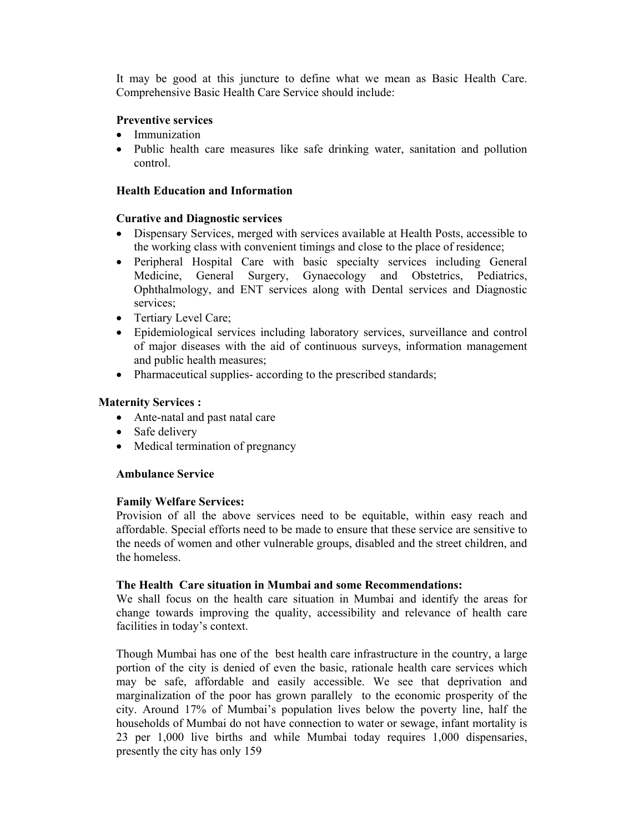It may be good at this juncture to define what we mean as Basic Health Care. Comprehensive Basic Health Care Service should include:

## **Preventive services**

- Immunization
- Public health care measures like safe drinking water, sanitation and pollution control.

## **Health Education and Information**

## **Curative and Diagnostic services**

- Dispensary Services, merged with services available at Health Posts, accessible to the working class with convenient timings and close to the place of residence;
- Peripheral Hospital Care with basic specialty services including General Medicine, General Surgery, Gynaecology and Obstetrics, Pediatrics, Ophthalmology, and ENT services along with Dental services and Diagnostic services;
- Tertiary Level Care;
- Epidemiological services including laboratory services, surveillance and control of major diseases with the aid of continuous surveys, information management and public health measures;
- Pharmaceutical supplies- according to the prescribed standards;

# **Maternity Services :**

- Ante-natal and past natal care
- Safe delivery
- Medical termination of pregnancy

# **Ambulance Service**

# **Family Welfare Services:**

Provision of all the above services need to be equitable, within easy reach and affordable. Special efforts need to be made to ensure that these service are sensitive to the needs of women and other vulnerable groups, disabled and the street children, and the homeless.

## **The Health Care situation in Mumbai and some Recommendations:**

We shall focus on the health care situation in Mumbai and identify the areas for change towards improving the quality, accessibility and relevance of health care facilities in today's context.

Though Mumbai has one of the best health care infrastructure in the country, a large portion of the city is denied of even the basic, rationale health care services which may be safe, affordable and easily accessible. We see that deprivation and marginalization of the poor has grown parallely to the economic prosperity of the city. Around 17% of Mumbai's population lives below the poverty line, half the households of Mumbai do not have connection to water or sewage, infant mortality is 23 per 1,000 live births and while Mumbai today requires 1,000 dispensaries, presently the city has only 159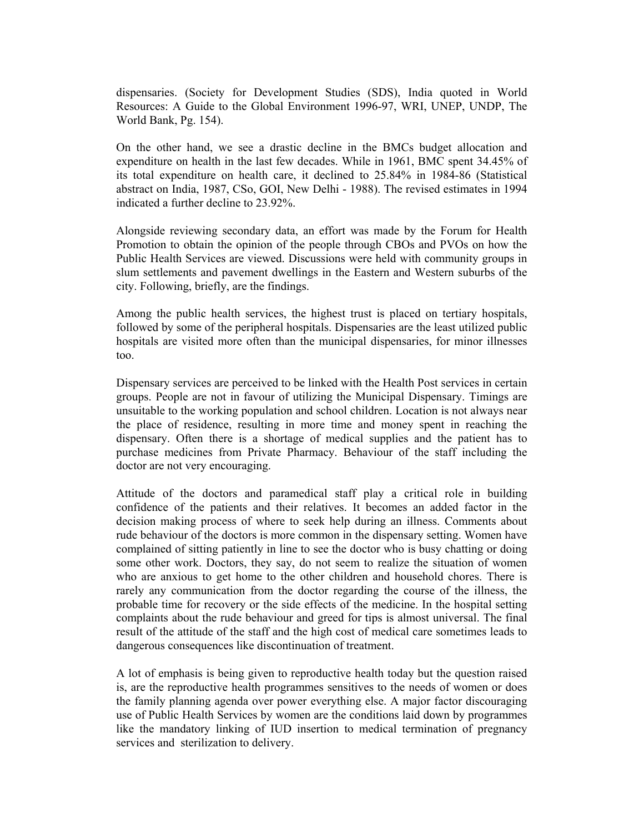dispensaries. (Society for Development Studies (SDS), India quoted in World Resources: A Guide to the Global Environment 1996-97, WRI, UNEP, UNDP, The World Bank, Pg. 154).

On the other hand, we see a drastic decline in the BMCs budget allocation and expenditure on health in the last few decades. While in 1961, BMC spent 34.45% of its total expenditure on health care, it declined to 25.84% in 1984-86 (Statistical abstract on India, 1987, CSo, GOI, New Delhi - 1988). The revised estimates in 1994 indicated a further decline to 23.92%.

Alongside reviewing secondary data, an effort was made by the Forum for Health Promotion to obtain the opinion of the people through CBOs and PVOs on how the Public Health Services are viewed. Discussions were held with community groups in slum settlements and pavement dwellings in the Eastern and Western suburbs of the city. Following, briefly, are the findings.

Among the public health services, the highest trust is placed on tertiary hospitals, followed by some of the peripheral hospitals. Dispensaries are the least utilized public hospitals are visited more often than the municipal dispensaries, for minor illnesses too.

Dispensary services are perceived to be linked with the Health Post services in certain groups. People are not in favour of utilizing the Municipal Dispensary. Timings are unsuitable to the working population and school children. Location is not always near the place of residence, resulting in more time and money spent in reaching the dispensary. Often there is a shortage of medical supplies and the patient has to purchase medicines from Private Pharmacy. Behaviour of the staff including the doctor are not very encouraging.

Attitude of the doctors and paramedical staff play a critical role in building confidence of the patients and their relatives. It becomes an added factor in the decision making process of where to seek help during an illness. Comments about rude behaviour of the doctors is more common in the dispensary setting. Women have complained of sitting patiently in line to see the doctor who is busy chatting or doing some other work. Doctors, they say, do not seem to realize the situation of women who are anxious to get home to the other children and household chores. There is rarely any communication from the doctor regarding the course of the illness, the probable time for recovery or the side effects of the medicine. In the hospital setting complaints about the rude behaviour and greed for tips is almost universal. The final result of the attitude of the staff and the high cost of medical care sometimes leads to dangerous consequences like discontinuation of treatment.

A lot of emphasis is being given to reproductive health today but the question raised is, are the reproductive health programmes sensitives to the needs of women or does the family planning agenda over power everything else. A major factor discouraging use of Public Health Services by women are the conditions laid down by programmes like the mandatory linking of IUD insertion to medical termination of pregnancy services and sterilization to delivery.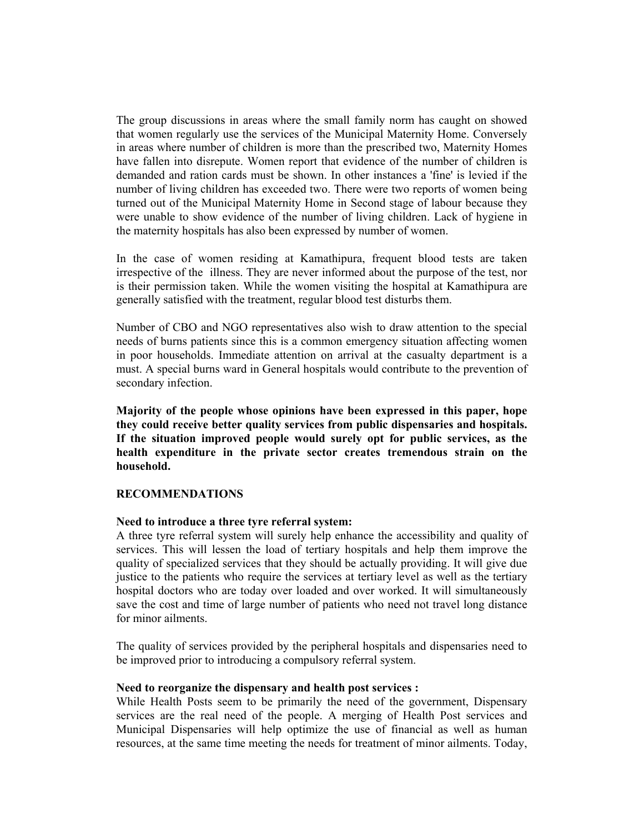The group discussions in areas where the small family norm has caught on showed that women regularly use the services of the Municipal Maternity Home. Conversely in areas where number of children is more than the prescribed two, Maternity Homes have fallen into disrepute. Women report that evidence of the number of children is demanded and ration cards must be shown. In other instances a 'fine' is levied if the number of living children has exceeded two. There were two reports of women being turned out of the Municipal Maternity Home in Second stage of labour because they were unable to show evidence of the number of living children. Lack of hygiene in the maternity hospitals has also been expressed by number of women.

In the case of women residing at Kamathipura, frequent blood tests are taken irrespective of the illness. They are never informed about the purpose of the test, nor is their permission taken. While the women visiting the hospital at Kamathipura are generally satisfied with the treatment, regular blood test disturbs them.

Number of CBO and NGO representatives also wish to draw attention to the special needs of burns patients since this is a common emergency situation affecting women in poor households. Immediate attention on arrival at the casualty department is a must. A special burns ward in General hospitals would contribute to the prevention of secondary infection.

**Majority of the people whose opinions have been expressed in this paper, hope they could receive better quality services from public dispensaries and hospitals. If the situation improved people would surely opt for public services, as the health expenditure in the private sector creates tremendous strain on the household.** 

## **RECOMMENDATIONS**

## **Need to introduce a three tyre referral system:**

A three tyre referral system will surely help enhance the accessibility and quality of services. This will lessen the load of tertiary hospitals and help them improve the quality of specialized services that they should be actually providing. It will give due justice to the patients who require the services at tertiary level as well as the tertiary hospital doctors who are today over loaded and over worked. It will simultaneously save the cost and time of large number of patients who need not travel long distance for minor ailments.

The quality of services provided by the peripheral hospitals and dispensaries need to be improved prior to introducing a compulsory referral system.

## **Need to reorganize the dispensary and health post services :**

While Health Posts seem to be primarily the need of the government, Dispensary services are the real need of the people. A merging of Health Post services and Municipal Dispensaries will help optimize the use of financial as well as human resources, at the same time meeting the needs for treatment of minor ailments. Today,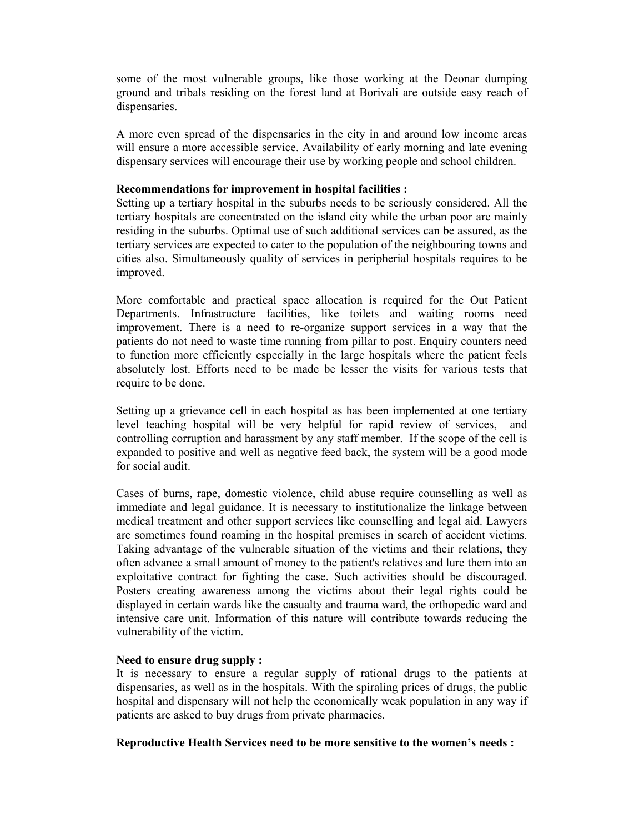some of the most vulnerable groups, like those working at the Deonar dumping ground and tribals residing on the forest land at Borivali are outside easy reach of dispensaries.

A more even spread of the dispensaries in the city in and around low income areas will ensure a more accessible service. Availability of early morning and late evening dispensary services will encourage their use by working people and school children.

#### **Recommendations for improvement in hospital facilities :**

Setting up a tertiary hospital in the suburbs needs to be seriously considered. All the tertiary hospitals are concentrated on the island city while the urban poor are mainly residing in the suburbs. Optimal use of such additional services can be assured, as the tertiary services are expected to cater to the population of the neighbouring towns and cities also. Simultaneously quality of services in peripherial hospitals requires to be improved.

More comfortable and practical space allocation is required for the Out Patient Departments. Infrastructure facilities, like toilets and waiting rooms need improvement. There is a need to re-organize support services in a way that the patients do not need to waste time running from pillar to post. Enquiry counters need to function more efficiently especially in the large hospitals where the patient feels absolutely lost. Efforts need to be made be lesser the visits for various tests that require to be done.

Setting up a grievance cell in each hospital as has been implemented at one tertiary level teaching hospital will be very helpful for rapid review of services, and controlling corruption and harassment by any staff member. If the scope of the cell is expanded to positive and well as negative feed back, the system will be a good mode for social audit.

Cases of burns, rape, domestic violence, child abuse require counselling as well as immediate and legal guidance. It is necessary to institutionalize the linkage between medical treatment and other support services like counselling and legal aid. Lawyers are sometimes found roaming in the hospital premises in search of accident victims. Taking advantage of the vulnerable situation of the victims and their relations, they often advance a small amount of money to the patient's relatives and lure them into an exploitative contract for fighting the case. Such activities should be discouraged. Posters creating awareness among the victims about their legal rights could be displayed in certain wards like the casualty and trauma ward, the orthopedic ward and intensive care unit. Information of this nature will contribute towards reducing the vulnerability of the victim.

## **Need to ensure drug supply :**

It is necessary to ensure a regular supply of rational drugs to the patients at dispensaries, as well as in the hospitals. With the spiraling prices of drugs, the public hospital and dispensary will not help the economically weak population in any way if patients are asked to buy drugs from private pharmacies.

## **Reproductive Health Services need to be more sensitive to the women's needs :**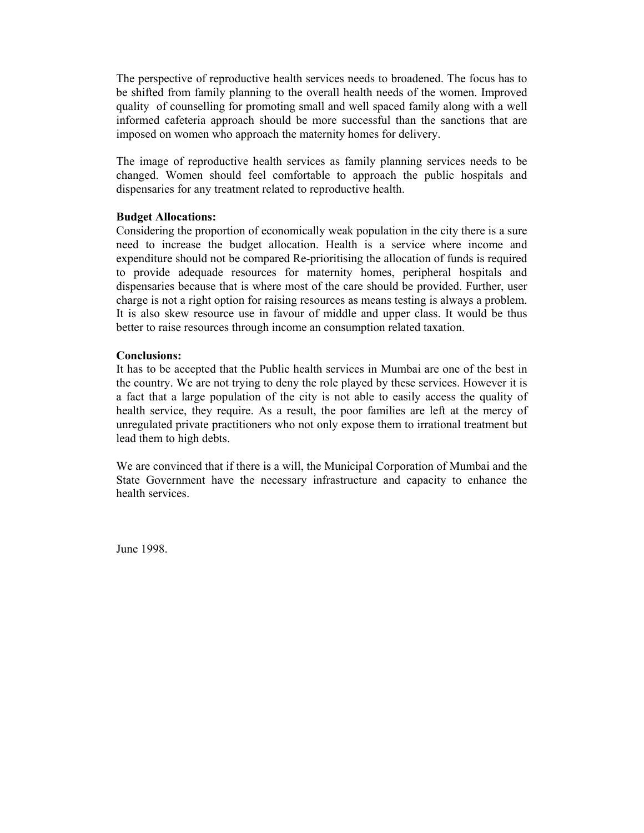The perspective of reproductive health services needs to broadened. The focus has to be shifted from family planning to the overall health needs of the women. Improved quality of counselling for promoting small and well spaced family along with a well informed cafeteria approach should be more successful than the sanctions that are imposed on women who approach the maternity homes for delivery.

The image of reproductive health services as family planning services needs to be changed. Women should feel comfortable to approach the public hospitals and dispensaries for any treatment related to reproductive health.

#### **Budget Allocations:**

Considering the proportion of economically weak population in the city there is a sure need to increase the budget allocation. Health is a service where income and expenditure should not be compared Re-prioritising the allocation of funds is required to provide adequade resources for maternity homes, peripheral hospitals and dispensaries because that is where most of the care should be provided. Further, user charge is not a right option for raising resources as means testing is always a problem. It is also skew resource use in favour of middle and upper class. It would be thus better to raise resources through income an consumption related taxation.

#### **Conclusions:**

It has to be accepted that the Public health services in Mumbai are one of the best in the country. We are not trying to deny the role played by these services. However it is a fact that a large population of the city is not able to easily access the quality of health service, they require. As a result, the poor families are left at the mercy of unregulated private practitioners who not only expose them to irrational treatment but lead them to high debts.

We are convinced that if there is a will, the Municipal Corporation of Mumbai and the State Government have the necessary infrastructure and capacity to enhance the health services.

June 1998.